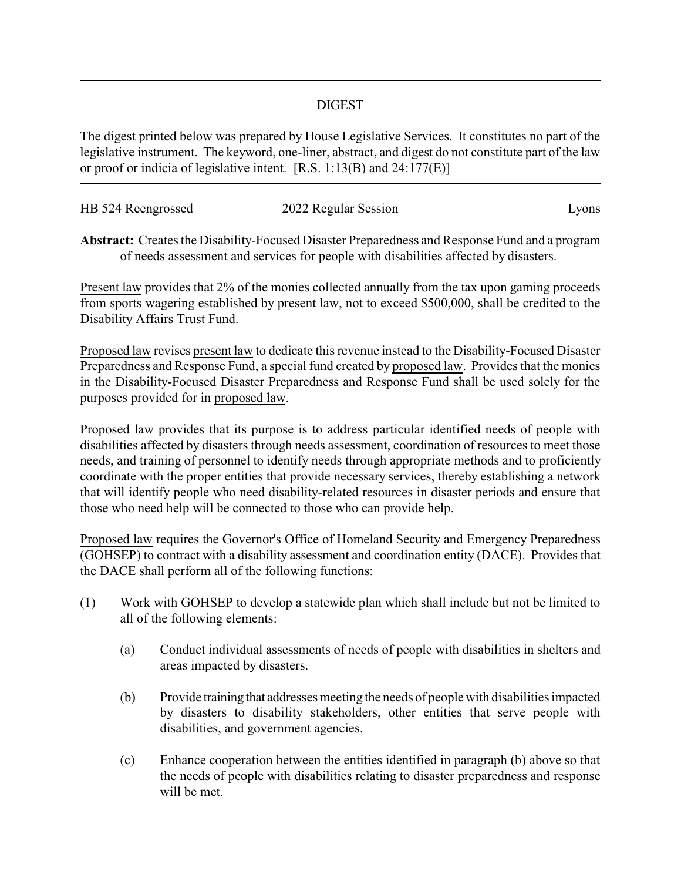## DIGEST

The digest printed below was prepared by House Legislative Services. It constitutes no part of the legislative instrument. The keyword, one-liner, abstract, and digest do not constitute part of the law or proof or indicia of legislative intent. [R.S. 1:13(B) and 24:177(E)]

| HB 524 Reengrossed | 2022 Regular Session | Lyons |
|--------------------|----------------------|-------|
|                    |                      |       |

**Abstract:** Creates the Disability-Focused Disaster Preparedness and Response Fund and a program of needs assessment and services for people with disabilities affected by disasters.

Present law provides that 2% of the monies collected annually from the tax upon gaming proceeds from sports wagering established by present law, not to exceed \$500,000, shall be credited to the Disability Affairs Trust Fund.

Proposed law revises present law to dedicate this revenue instead to the Disability-Focused Disaster Preparedness and Response Fund, a special fund created by proposed law. Provides that the monies in the Disability-Focused Disaster Preparedness and Response Fund shall be used solely for the purposes provided for in proposed law.

Proposed law provides that its purpose is to address particular identified needs of people with disabilities affected by disasters through needs assessment, coordination of resources to meet those needs, and training of personnel to identify needs through appropriate methods and to proficiently coordinate with the proper entities that provide necessary services, thereby establishing a network that will identify people who need disability-related resources in disaster periods and ensure that those who need help will be connected to those who can provide help.

Proposed law requires the Governor's Office of Homeland Security and Emergency Preparedness (GOHSEP) to contract with a disability assessment and coordination entity (DACE). Provides that the DACE shall perform all of the following functions:

- (1) Work with GOHSEP to develop a statewide plan which shall include but not be limited to all of the following elements:
	- (a) Conduct individual assessments of needs of people with disabilities in shelters and areas impacted by disasters.
	- (b) Provide training that addresses meeting the needs of people with disabilities impacted by disasters to disability stakeholders, other entities that serve people with disabilities, and government agencies.
	- (c) Enhance cooperation between the entities identified in paragraph (b) above so that the needs of people with disabilities relating to disaster preparedness and response will be met.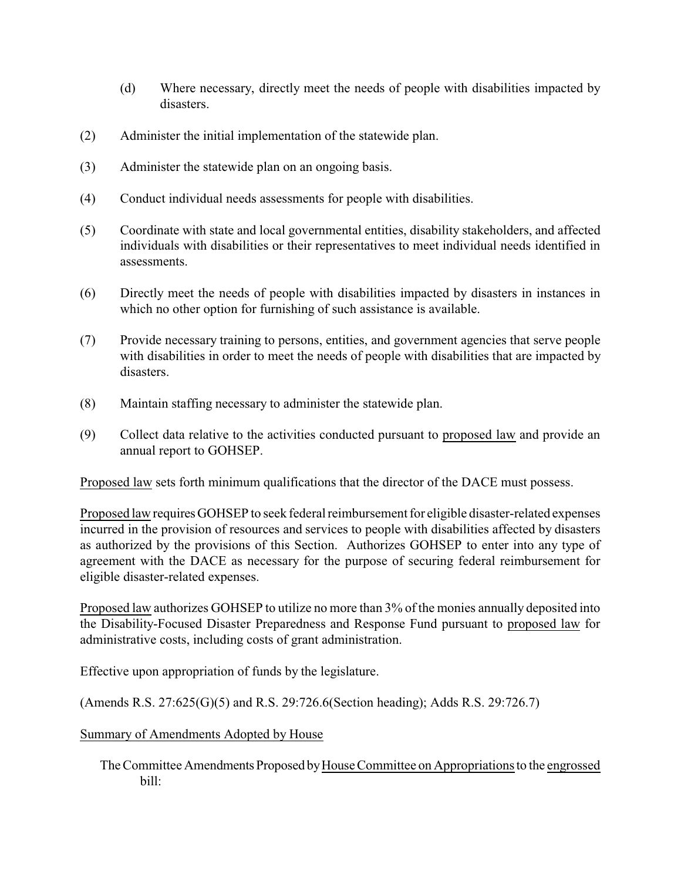- (d) Where necessary, directly meet the needs of people with disabilities impacted by disasters.
- (2) Administer the initial implementation of the statewide plan.
- (3) Administer the statewide plan on an ongoing basis.
- (4) Conduct individual needs assessments for people with disabilities.
- (5) Coordinate with state and local governmental entities, disability stakeholders, and affected individuals with disabilities or their representatives to meet individual needs identified in assessments.
- (6) Directly meet the needs of people with disabilities impacted by disasters in instances in which no other option for furnishing of such assistance is available.
- (7) Provide necessary training to persons, entities, and government agencies that serve people with disabilities in order to meet the needs of people with disabilities that are impacted by disasters.
- (8) Maintain staffing necessary to administer the statewide plan.
- (9) Collect data relative to the activities conducted pursuant to proposed law and provide an annual report to GOHSEP.

Proposed law sets forth minimum qualifications that the director of the DACE must possess.

Proposed law requires GOHSEP to seek federal reimbursement for eligible disaster-related expenses incurred in the provision of resources and services to people with disabilities affected by disasters as authorized by the provisions of this Section. Authorizes GOHSEP to enter into any type of agreement with the DACE as necessary for the purpose of securing federal reimbursement for eligible disaster-related expenses.

Proposed law authorizes GOHSEP to utilize no more than 3% of the monies annually deposited into the Disability-Focused Disaster Preparedness and Response Fund pursuant to proposed law for administrative costs, including costs of grant administration.

Effective upon appropriation of funds by the legislature.

(Amends R.S. 27:625(G)(5) and R.S. 29:726.6(Section heading); Adds R.S. 29:726.7)

## Summary of Amendments Adopted by House

The Committee Amendments Proposed byHouse Committee on Appropriations to the engrossed bill: